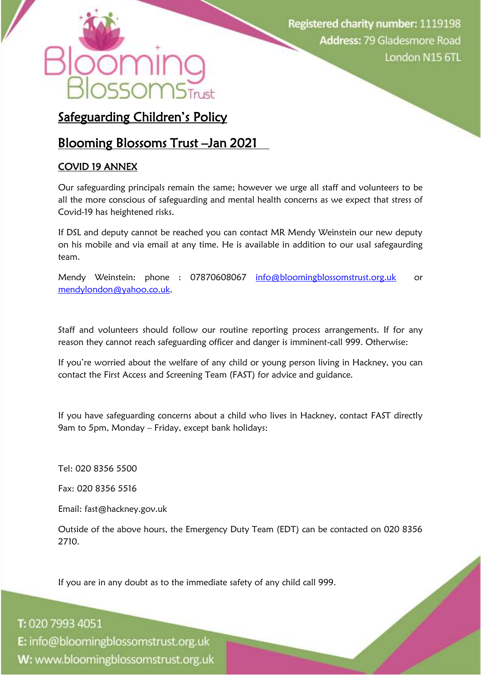## Safeguarding Children's Policy

## Blooming Blossoms Trust –Jan 2021

### COVID 19 ANNEX

Our safeguarding principals remain the same; however we urge all staff and volunteers to be all the more conscious of safeguarding and mental health concerns as we expect that stress of Covid-19 has heightened risks.

If DSL and deputy cannot be reached you can contact MR Mendy Weinstein our new deputy on his mobile and via email at any time. He is available in addition to our usal safegaurding team.

Mendy Weinstein: phone : 07870608067 [info@bloomingblossomstrust.org.uk](mailto:info@bloomingblossomstrust.org.uk) or [mendylondon@yahoo.co.uk.](mailto:mendylondon@yahoo.co.uk)

Staff and volunteers should follow our routine reporting process arrangements. If for any reason they cannot reach safeguarding officer and danger is imminent-call 999. Otherwise:

If you're worried about the welfare of any child or young person living in Hackney, you can contact the First Access and Screening Team (FAST) for advice and guidance.

If you have safeguarding concerns about a child who lives in Hackney, contact FAST directly 9am to 5pm, Monday – Friday, except bank holidays:

Tel: 020 8356 5500

Fax: 020 8356 5516

Email: fast@hackney.gov.uk

Outside of the above hours, the Emergency Duty Team (EDT) can be contacted on 020 8356 2710.

If you are in any doubt as to the immediate safety of any child call 999.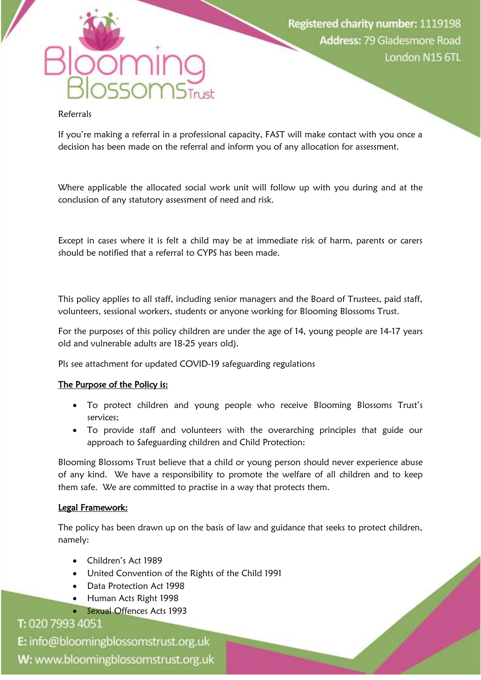#### Referrals

If you're making a referral in a professional capacity, FAST will make contact with you once a decision has been made on the referral and inform you of any allocation for assessment.

Where applicable the allocated social work unit will follow up with you during and at the conclusion of any statutory assessment of need and risk.

Except in cases where it is felt a child may be at immediate risk of harm, parents or carers should be notified that a referral to CYPS has been made.

This policy applies to all staff, including senior managers and the Board of Trustees, paid staff, volunteers, sessional workers, students or anyone working for Blooming Blossoms Trust.

For the purposes of this policy children are under the age of 14, young people are 14-17 years old and vulnerable adults are 18-25 years old).

Pls see attachment for updated COVID-19 safeguarding regulations

#### The Purpose of the Policy is:

- To protect children and young people who receive Blooming Blossoms Trust's services;
- To provide staff and volunteers with the overarching principles that guide our approach to Safeguarding children and Child Protection:

Blooming Blossoms Trust believe that a child or young person should never experience abuse of any kind. We have a responsibility to promote the welfare of all children and to keep them safe. We are committed to practise in a way that protects them.

#### Legal Framework:

The policy has been drawn up on the basis of law and guidance that seeks to protect children, namely:

- Children's Act 1989
- United Convention of the Rights of the Child 1991
- Data Protection Act 1998
- Human Acts Right 1998
- Sexual Offences Acts 1993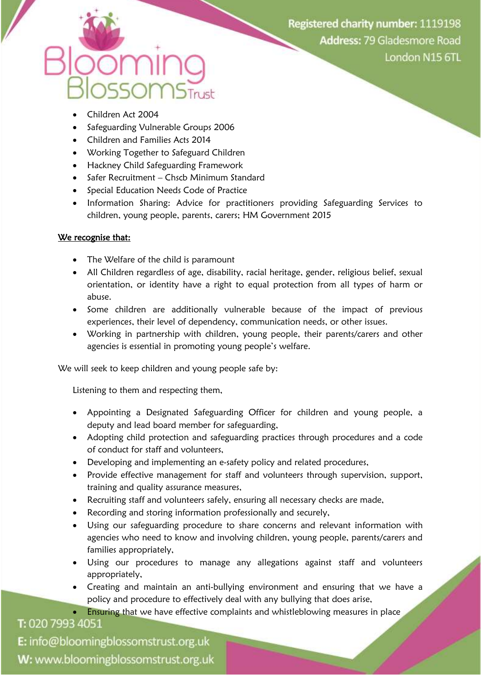- Children Act 2004
- Safeguarding Vulnerable Groups 2006
- Children and Families Acts 2014
- Working Together to Safeguard Children
- Hackney Child Safeguarding Framework
- Safer Recruitment Chscb Minimum Standard
- Special Education Needs Code of Practice
- Information Sharing: Advice for practitioners providing Safeguarding Services to children, young people, parents, carers; HM Government 2015

#### We recognise that:

- The Welfare of the child is paramount
- All Children regardless of age, disability, racial heritage, gender, religious belief, sexual orientation, or identity have a right to equal protection from all types of harm or abuse.
- Some children are additionally vulnerable because of the impact of previous experiences, their level of dependency, communication needs, or other issues.
- Working in partnership with children, young people, their parents/carers and other agencies is essential in promoting young people's welfare.

We will seek to keep children and young people safe by:

Listening to them and respecting them,

- Appointing a Designated Safeguarding Officer for children and young people, a deputy and lead board member for safeguarding,
- Adopting child protection and safeguarding practices through procedures and a code of conduct for staff and volunteers,
- Developing and implementing an e-safety policy and related procedures,
- Provide effective management for staff and volunteers through supervision, support, training and quality assurance measures,
- Recruiting staff and volunteers safely, ensuring all necessary checks are made,
- Recording and storing information professionally and securely,
- Using our safeguarding procedure to share concerns and relevant information with agencies who need to know and involving children, young people, parents/carers and families appropriately,
- Using our procedures to manage any allegations against staff and volunteers appropriately,
- Creating and maintain an anti-bullying environment and ensuring that we have a policy and procedure to effectively deal with any bullying that does arise,
	- Ensuring that we have effective complaints and whistleblowing measures in place

T: 020 7993 4051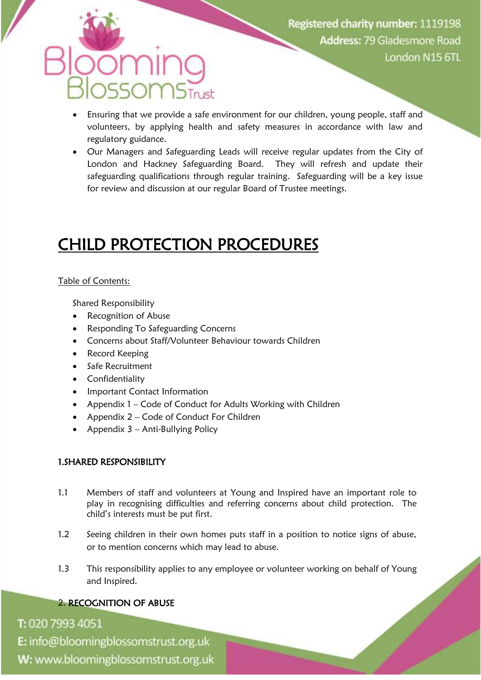- Ensuring that we provide a safe environment for our children, young people, staff and volunteers, by applying health and safety measures in accordance with law and regulatory guidance.
- Our Managers and Safeguarding Leads will receive regular updates from the City of London and Hackney Safeguarding Board. They will refresh and update their safeguarding qualifications through regular training. Safeguarding will be a key issue for review and discussion at our regular Board of Trustee meetings.

## CHILD PROTECTION PROCEDURES

#### Table of Contents:

Shared Responsibility

- Recognition of Abuse
- Responding To Safeguarding Concerns
- Concerns about Staff/Volunteer Behaviour towards Children
- Record Keeping
- Safe Recruitment
- Confidentiality
- Important Contact Information
- Appendix 1 Code of Conduct for Adults Working with Children
- Appendix 2 Code of Conduct For Children
- Appendix  $3 -$  Anti-Bullying Policy

### 1.SHARED RESPONSIBILITY

- 1.1 Members of staff and volunteers at Young and Inspired have an important role to play in recognising difficulties and referring concerns about child protection. The child's interests must be put first.
- 1.2 Seeing children in their own homes puts staff in a position to notice signs of abuse, or to mention concerns which may lead to abuse.
- 1.3 This responsibility applies to any employee or volunteer working on behalf of Young and Inspired.

## 2. RECOGNITION OF ABUSE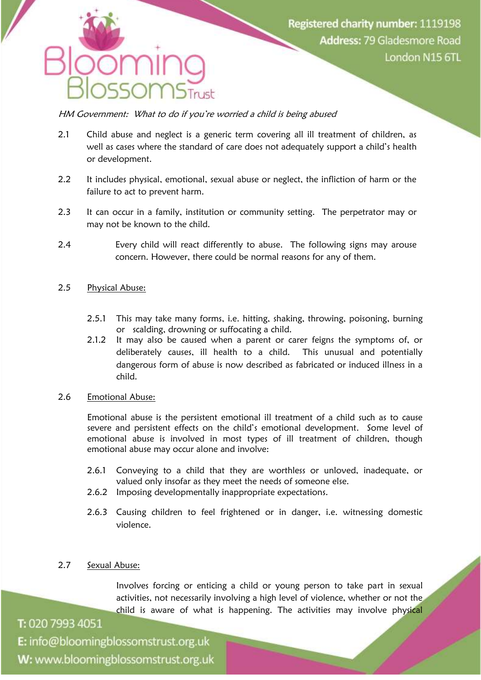HM Government: What to do if you're worried a child is being abused

- 2.1 Child abuse and neglect is a generic term covering all ill treatment of children, as well as cases where the standard of care does not adequately support a child's health or development.
- 2.2 It includes physical, emotional, sexual abuse or neglect, the infliction of harm or the failure to act to prevent harm.
- 2.3 It can occur in a family, institution or community setting. The perpetrator may or may not be known to the child.
- 2.4 Every child will react differently to abuse. The following signs may arouse concern. However, there could be normal reasons for any of them.

#### 2.5 Physical Abuse:

- 2.5.1 This may take many forms, i.e. hitting, shaking, throwing, poisoning, burning or scalding, drowning or suffocating a child.
- 2.1.2 It may also be caused when a parent or carer feigns the symptoms of, or deliberately causes, ill health to a child. This unusual and potentially dangerous form of abuse is now described as fabricated or induced illness in a child.

#### 2.6 Emotional Abuse:

Emotional abuse is the persistent emotional ill treatment of a child such as to cause severe and persistent effects on the child's emotional development. Some level of emotional abuse is involved in most types of ill treatment of children, though emotional abuse may occur alone and involve:

- 2.6.1 Conveying to a child that they are worthless or unloved, inadequate, or valued only insofar as they meet the needs of someone else.
- 2.6.2 Imposing developmentally inappropriate expectations.
- 2.6.3 Causing children to feel frightened or in danger, i.e. witnessing domestic violence.

#### 2.7 Sexual Abuse:

T: 020 7993 4051

Involves forcing or enticing a child or young person to take part in sexual activities, not necessarily involving a high level of violence, whether or not the child is aware of what is happening. The activities may involve physical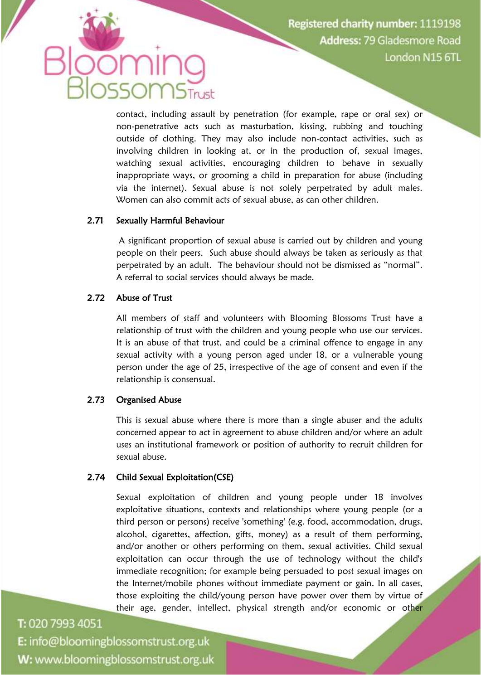contact, including assault by penetration (for example, rape or oral sex) or non-penetrative acts such as masturbation, kissing, rubbing and touching outside of clothing. They may also include non-contact activities, such as involving children in looking at, or in the production of, sexual images, watching sexual activities, encouraging children to behave in sexually inappropriate ways, or grooming a child in preparation for abuse (including via the internet). Sexual abuse is not solely perpetrated by adult males. Women can also commit acts of sexual abuse, as can other children.

#### 2.71 Sexually Harmful Behaviour

A significant proportion of sexual abuse is carried out by children and young people on their peers. Such abuse should always be taken as seriously as that perpetrated by an adult. The behaviour should not be dismissed as "normal". A referral to social services should always be made.

#### 2.72 Abuse of Trust

All members of staff and volunteers with Blooming Blossoms Trust have a relationship of trust with the children and young people who use our services. It is an abuse of that trust, and could be a criminal offence to engage in any sexual activity with a young person aged under 18, or a vulnerable young person under the age of 25, irrespective of the age of consent and even if the relationship is consensual.

#### 2.73 Organised Abuse

This is sexual abuse where there is more than a single abuser and the adults concerned appear to act in agreement to abuse children and/or where an adult uses an institutional framework or position of authority to recruit children for sexual abuse.

#### 2.74 Child Sexual Exploitation(CSE)

Sexual exploitation of children and young people under 18 involves exploitative situations, contexts and relationships where young people (or a third person or persons) receive 'something' (e.g. food, accommodation, drugs, alcohol, cigarettes, affection, gifts, money) as a result of them performing, and/or another or others performing on them, sexual activities. Child sexual exploitation can occur through the use of technology without the child's immediate recognition; for example being persuaded to post sexual images on the Internet/mobile phones without immediate payment or gain. In all cases, those exploiting the child/young person have power over them by virtue of their age, gender, intellect, physical strength and/or economic or other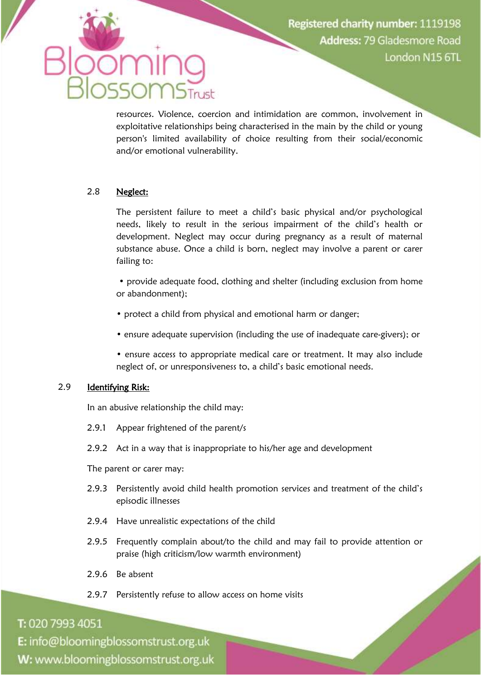resources. Violence, coercion and intimidation are common, involvement in exploitative relationships being characterised in the main by the child or young person's limited availability of choice resulting from their social/economic and/or emotional vulnerability.

#### 2.8 Neglect:

The persistent failure to meet a child's basic physical and/or psychological needs, likely to result in the serious impairment of the child's health or development. Neglect may occur during pregnancy as a result of maternal substance abuse. Once a child is born, neglect may involve a parent or carer failing to:

• provide adequate food, clothing and shelter (including exclusion from home or abandonment);

- protect a child from physical and emotional harm or danger;
- ensure adequate supervision (including the use of inadequate care-givers); or

• ensure access to appropriate medical care or treatment. It may also include neglect of, or unresponsiveness to, a child's basic emotional needs.

#### 2.9 Identifying Risk:

In an abusive relationship the child may:

- 2.9.1 Appear frightened of the parent/s
- 2.9.2 Act in a way that is inappropriate to his/her age and development

The parent or carer may:

- 2.9.3 Persistently avoid child health promotion services and treatment of the child's episodic illnesses
- 2.9.4 Have unrealistic expectations of the child
- 2.9.5 Frequently complain about/to the child and may fail to provide attention or praise (high criticism/low warmth environment)
- 2.9.6 Be absent
- 2.9.7 Persistently refuse to allow access on home visits

#### T: 020 7993 4051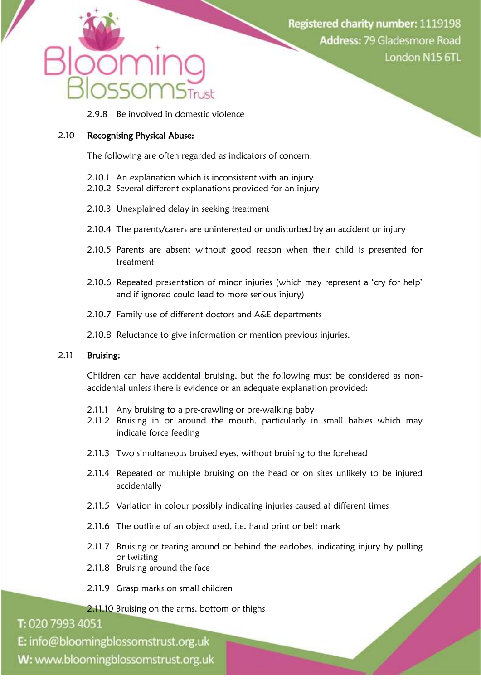2.9.8 Be involved in domestic violence

#### 2.10 Recognising Physical Abuse:

The following are often regarded as indicators of concern:

- 2.10.1 An explanation which is inconsistent with an injury
- 2.10.2 Several different explanations provided for an injury
- 2.10.3 Unexplained delay in seeking treatment
- 2.10.4 The parents/carers are uninterested or undisturbed by an accident or injury
- 2.10.5 Parents are absent without good reason when their child is presented for treatment
- 2.10.6 Repeated presentation of minor injuries (which may represent a 'cry for help' and if ignored could lead to more serious injury)
- 2.10.7 Family use of different doctors and A&E departments
- 2.10.8 Reluctance to give information or mention previous injuries.

#### 2.11 Bruising:

Children can have accidental bruising, but the following must be considered as nonaccidental unless there is evidence or an adequate explanation provided:

- 2.11.1 Any bruising to a pre-crawling or pre-walking baby
- 2.11.2 Bruising in or around the mouth, particularly in small babies which may indicate force feeding
- 2.11.3 Two simultaneous bruised eyes, without bruising to the forehead
- 2.11.4 Repeated or multiple bruising on the head or on sites unlikely to be injured accidentally
- 2.11.5 Variation in colour possibly indicating injuries caused at different times
- 2.11.6 The outline of an object used, i.e. hand print or belt mark
- 2.11.7 Bruising or tearing around or behind the earlobes, indicating injury by pulling or twisting

E.

- 2.11.8 Bruising around the face
- 2.11.9 Grasp marks on small children

2.11.10 Bruising on the arms, bottom or thighs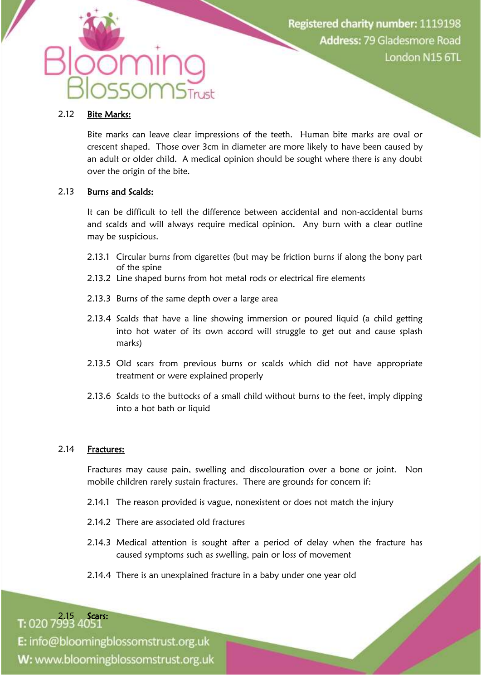#### 2.12 Bite Marks:

Bite marks can leave clear impressions of the teeth. Human bite marks are oval or crescent shaped. Those over 3cm in diameter are more likely to have been caused by an adult or older child. A medical opinion should be sought where there is any doubt over the origin of the bite.

#### 2.13 Burns and Scalds:

It can be difficult to tell the difference between accidental and non-accidental burns and scalds and will always require medical opinion. Any burn with a clear outline may be suspicious.

- 2.13.1 Circular burns from cigarettes (but may be friction burns if along the bony part of the spine
- 2.13.2 Line shaped burns from hot metal rods or electrical fire elements
- 2.13.3 Burns of the same depth over a large area
- 2.13.4 Scalds that have a line showing immersion or poured liquid (a child getting into hot water of its own accord will struggle to get out and cause splash marks)
- 2.13.5 Old scars from previous burns or scalds which did not have appropriate treatment or were explained properly
- 2.13.6 Scalds to the buttocks of a small child without burns to the feet, imply dipping into a hot bath or liquid

#### 2.14 Fractures:

Fractures may cause pain, swelling and discolouration over a bone or joint. Non mobile children rarely sustain fractures. There are grounds for concern if:

- 2.14.1 The reason provided is vague, nonexistent or does not match the injury
- 2.14.2 There are associated old fractures
- 2.14.3 Medical attention is sought after a period of delay when the fracture has caused symptoms such as swelling, pain or loss of movement
- 2.14.4 There is an unexplained fracture in a baby under one year old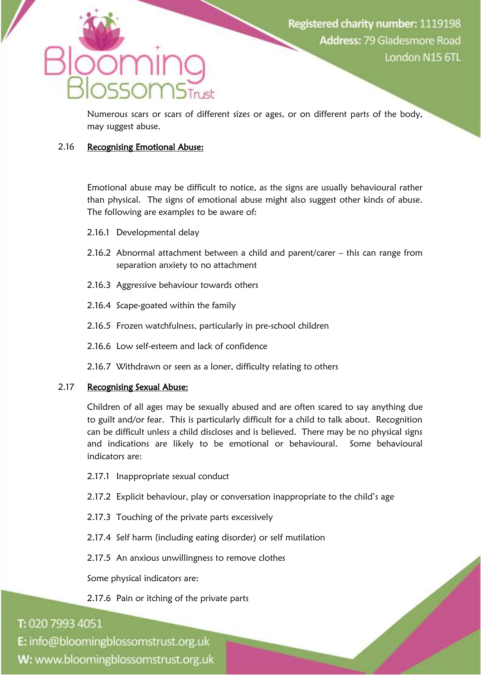Numerous scars or scars of different sizes or ages, or on different parts of the body, may suggest abuse.

#### 2.16 Recognising Emotional Abuse:

Emotional abuse may be difficult to notice, as the signs are usually behavioural rather than physical. The signs of emotional abuse might also suggest other kinds of abuse. The following are examples to be aware of:

- 2.16.1 Developmental delay
- 2.16.2 Abnormal attachment between a child and parent/carer this can range from separation anxiety to no attachment
- 2.16.3 Aggressive behaviour towards others
- 2.16.4 Scape-goated within the family
- 2.16.5 Frozen watchfulness, particularly in pre-school children
- 2.16.6 Low self-esteem and lack of confidence
- 2.16.7 Withdrawn or seen as a loner, difficulty relating to others

#### 2.17 Recognising Sexual Abuse:

Children of all ages may be sexually abused and are often scared to say anything due to guilt and/or fear. This is particularly difficult for a child to talk about. Recognition can be difficult unless a child discloses and is believed. There may be no physical signs and indications are likely to be emotional or behavioural. Some behavioural indicators are:

- 2.17.1 Inappropriate sexual conduct
- 2.17.2 Explicit behaviour, play or conversation inappropriate to the child's age
- 2.17.3 Touching of the private parts excessively
- 2.17.4 Self harm (including eating disorder) or self mutilation
- 2.17.5 An anxious unwillingness to remove clothes

Some physical indicators are:

#### 2.17.6 Pain or itching of the private parts

### T: 020 7993 4051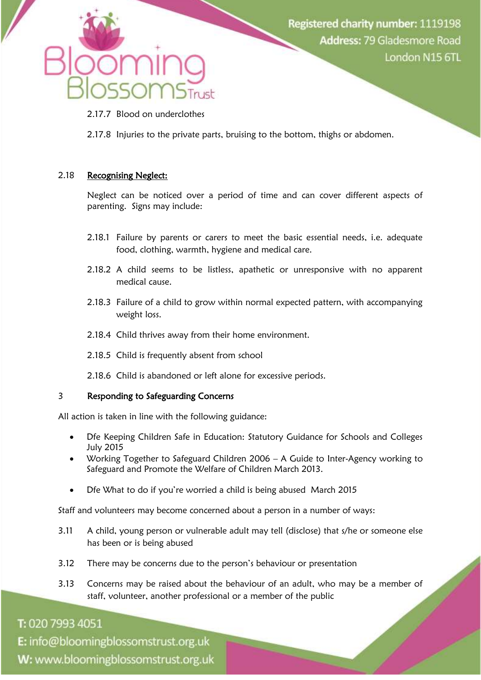

- 2.17.7 Blood on underclothes
- 2.17.8 Injuries to the private parts, bruising to the bottom, thighs or abdomen.

#### 2.18 Recognising Neglect:

Neglect can be noticed over a period of time and can cover different aspects of parenting. Signs may include:

- 2.18.1 Failure by parents or carers to meet the basic essential needs, i.e. adequate food, clothing, warmth, hygiene and medical care.
- 2.18.2 A child seems to be listless, apathetic or unresponsive with no apparent medical cause.
- 2.18.3 Failure of a child to grow within normal expected pattern, with accompanying weight loss.
- 2.18.4 Child thrives away from their home environment.
- 2.18.5 Child is frequently absent from school
- 2.18.6 Child is abandoned or left alone for excessive periods.

#### 3 Responding to Safeguarding Concerns

All action is taken in line with the following guidance:

- Dfe Keeping Children Safe in Education: Statutory Guidance for Schools and Colleges July 2015
- Working Together to Safeguard Children 2006 A Guide to Inter-Agency working to Safeguard and Promote the Welfare of Children March 2013.
- Dfe What to do if you're worried a child is being abused March 2015

Staff and volunteers may become concerned about a person in a number of ways:

- 3.11 A child, young person or vulnerable adult may tell (disclose) that s/he or someone else has been or is being abused
- 3.12 There may be concerns due to the person's behaviour or presentation
- 3.13 Concerns may be raised about the behaviour of an adult, who may be a member of staff, volunteer, another professional or a member of the public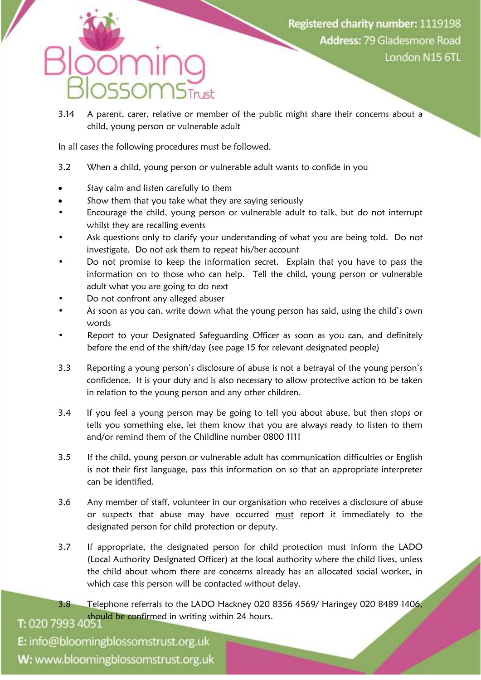## nr

3.14 A parent, carer, relative or member of the public might share their concerns about a child, young person or vulnerable adult

In all cases the following procedures must be followed.

- 3.2 When a child, young person or vulnerable adult wants to confide in you
- Stay calm and listen carefully to them
- Show them that you take what they are saying seriously
- Encourage the child, young person or vulnerable adult to talk, but do not interrupt whilst they are recalling events
- Ask questions only to clarify your understanding of what you are being told. Do not investigate. Do not ask them to repeat his/her account
- Do not promise to keep the information secret. Explain that you have to pass the information on to those who can help. Tell the child, young person or vulnerable adult what you are going to do next
- Do not confront any alleged abuser
- As soon as you can, write down what the young person has said, using the child's own words
- Report to your Designated Safeguarding Officer as soon as you can, and definitely before the end of the shift/day (see page 15 for relevant designated people)
- 3.3 Reporting a young person's disclosure of abuse is not a betrayal of the young person's confidence. It is your duty and is also necessary to allow protective action to be taken in relation to the young person and any other children.
- 3.4 If you feel a young person may be going to tell you about abuse, but then stops or tells you something else, let them know that you are always ready to listen to them and/or remind them of the Childline number 0800 1111
- 3.5 If the child, young person or vulnerable adult has communication difficulties or English is not their first language, pass this information on so that an appropriate interpreter can be identified.
- 3.6 Any member of staff, volunteer in our organisation who receives a disclosure of abuse or suspects that abuse may have occurred must report it immediately to the designated person for child protection or deputy.
- 3.7 If appropriate, the designated person for child protection must inform the LADO (Local Authority Designated Officer) at the local authority where the child lives, unless the child about whom there are concerns already has an allocated social worker, in which case this person will be contacted without delay.
- 3.8 Telephone referrals to the LADO Hackney 020 8356 4569/ Haringey 020 8489 1406, T: 020 7993 4051 Should be confirmed in writing within 24 hours.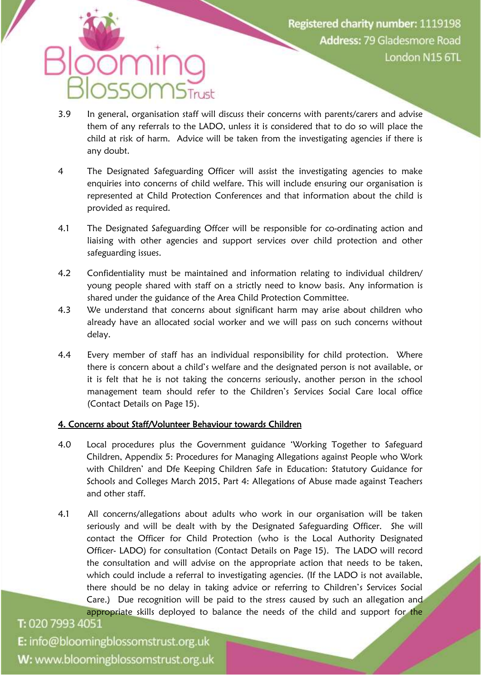## **SOMSTrust**

- 3.9 In general, organisation staff will discuss their concerns with parents/carers and advise them of any referrals to the LADO, unless it is considered that to do so will place the child at risk of harm. Advice will be taken from the investigating agencies if there is any doubt.
- 4 The Designated Safeguarding Officer will assist the investigating agencies to make enquiries into concerns of child welfare. This will include ensuring our organisation is represented at Child Protection Conferences and that information about the child is provided as required.
- 4.1 The Designated Safeguarding Offcer will be responsible for co-ordinating action and liaising with other agencies and support services over child protection and other safeguarding issues.
- 4.2 Confidentiality must be maintained and information relating to individual children/ young people shared with staff on a strictly need to know basis. Any information is shared under the guidance of the Area Child Protection Committee.
- 4.3 We understand that concerns about significant harm may arise about children who already have an allocated social worker and we will pass on such concerns without delay.
- 4.4 Every member of staff has an individual responsibility for child protection. Where there is concern about a child's welfare and the designated person is not available, or it is felt that he is not taking the concerns seriously, another person in the school management team should refer to the Children's Services Social Care local office (Contact Details on Page 15).

#### 4. Concerns about Staff/Volunteer Behaviour towards Children

- 4.0 Local procedures plus the Government guidance 'Working Together to Safeguard Children, Appendix 5: Procedures for Managing Allegations against People who Work with Children' and Dfe Keeping Children Safe in Education: Statutory Guidance for Schools and Colleges March 2015, Part 4: Allegations of Abuse made against Teachers and other staff.
- 4.1 All concerns/allegations about adults who work in our organisation will be taken seriously and will be dealt with by the Designated Safeguarding Officer. She will contact the Officer for Child Protection (who is the Local Authority Designated Officer- LADO) for consultation (Contact Details on Page 15). The LADO will record the consultation and will advise on the appropriate action that needs to be taken, which could include a referral to investigating agencies. (If the LADO is not available, there should be no delay in taking advice or referring to Children's Services Social Care.) Due recognition will be paid to the stress caused by such an allegation and appropriate skills deployed to balance the needs of the child and support for the T: 020 7993 4051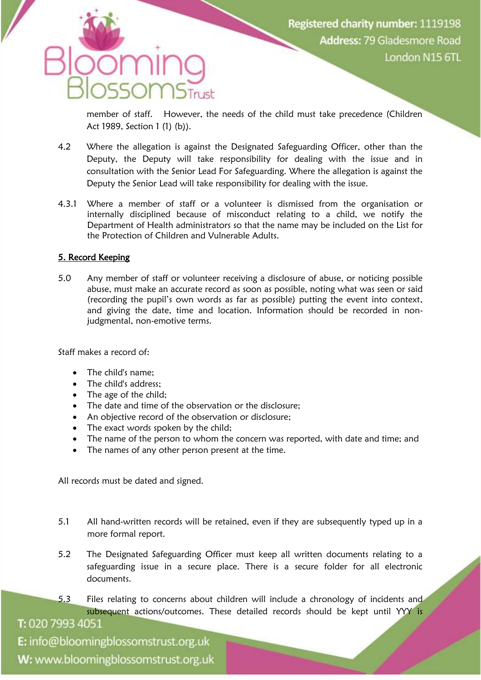member of staff. However, the needs of the child must take precedence (Children Act 1989, Section 1 (1) (b)).

- 4.2 Where the allegation is against the Designated Safeguarding Officer, other than the Deputy, the Deputy will take responsibility for dealing with the issue and in consultation with the Senior Lead For Safeguarding. Where the allegation is against the Deputy the Senior Lead will take responsibility for dealing with the issue.
- 4.3.1 Where a member of staff or a volunteer is dismissed from the organisation or internally disciplined because of misconduct relating to a child, we notify the Department of Health administrators so that the name may be included on the List for the Protection of Children and Vulnerable Adults.

#### 5. Record Keeping

5.0 Any member of staff or volunteer receiving a disclosure of abuse, or noticing possible abuse, must make an accurate record as soon as possible, noting what was seen or said (recording the pupil's own words as far as possible) putting the event into context, and giving the date, time and location. Information should be recorded in nonjudgmental, non-emotive terms.

Staff makes a record of:

- The child's name;
- The child's address:
- The age of the child:
- The date and time of the observation or the disclosure;
- An objective record of the observation or disclosure;
- The exact words spoken by the child;
- The name of the person to whom the concern was reported, with date and time; and
- The names of any other person present at the time.

All records must be dated and signed.

- 5.1 All hand-written records will be retained, even if they are subsequently typed up in a more formal report.
- 5.2 The Designated Safeguarding Officer must keep all written documents relating to a safeguarding issue in a secure place. There is a secure folder for all electronic documents.
- 5.3 Files relating to concerns about children will include a chronology of incidents and subsequent actions/outcomes. These detailed records should be kept until YYY is

T: 020 7993 4051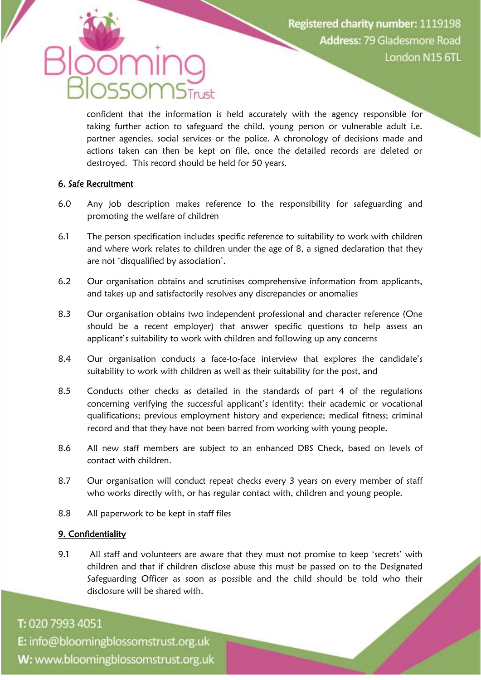# $\bigcap$

confident that the information is held accurately with the agency responsible for taking further action to safeguard the child, young person or vulnerable adult i.e. partner agencies, social services or the police. A chronology of decisions made and actions taken can then be kept on file, once the detailed records are deleted or destroyed. This record should be held for 50 years.

#### 6. Safe Recruitment

- 6.0 Any job description makes reference to the responsibility for safeguarding and promoting the welfare of children
- 6.1 The person specification includes specific reference to suitability to work with children and where work relates to children under the age of 8, a signed declaration that they are not 'disqualified by association'.
- 6.2 Our organisation obtains and scrutinises comprehensive information from applicants, and takes up and satisfactorily resolves any discrepancies or anomalies
- 8.3 Our organisation obtains two independent professional and character reference (One should be a recent employer) that answer specific questions to help assess an applicant's suitability to work with children and following up any concerns
- 8.4 Our organisation conducts a face-to-face interview that explores the candidate's suitability to work with children as well as their suitability for the post, and
- 8.5 Conducts other checks as detailed in the standards of part 4 of the regulations concerning verifying the successful applicant's identity; their academic or vocational qualifications; previous employment history and experience; medical fitness; criminal record and that they have not been barred from working with young people.
- 8.6 All new staff members are subject to an enhanced DBS Check, based on levels of contact with children.
- 8.7 Our organisation will conduct repeat checks every 3 years on every member of staff who works directly with, or has regular contact with, children and young people.
- 8.8 All paperwork to be kept in staff files

#### 9. Confidentiality

9.1 All staff and volunteers are aware that they must not promise to keep 'secrets' with children and that if children disclose abuse this must be passed on to the Designated Safeguarding Officer as soon as possible and the child should be told who their disclosure will be shared with.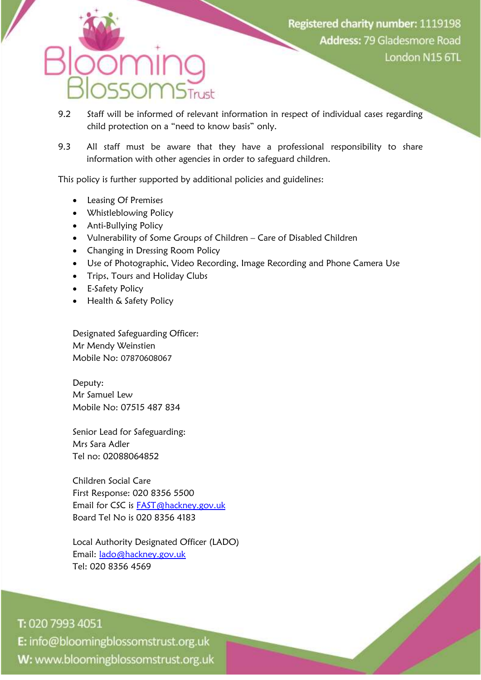- 9.2 Staff will be informed of relevant information in respect of individual cases regarding child protection on a "need to know basis" only.
- 9.3 All staff must be aware that they have a professional responsibility to share information with other agencies in order to safeguard children.

This policy is further supported by additional policies and guidelines:

- Leasing Of Premises
- Whistleblowing Policy
- Anti-Bullying Policy
- Vulnerability of Some Groups of Children Care of Disabled Children
- Changing in Dressing Room Policy
- Use of Photographic, Video Recording, Image Recording and Phone Camera Use
- Trips, Tours and Holiday Clubs
- **•** E-Safety Policy
- Health & Safety Policy

Designated Safeguarding Officer: Mr Mendy Weinstien Mobile No: 07870608067

Deputy: Mr Samuel Lew Mobile No: 07515 487 834

Senior Lead for Safeguarding: Mrs Sara Adler Tel no: 02088064852

Children Social Care First Response: 020 8356 5500 Email for CSC is [FAST@hackney.gov.uk](mailto:FAST@hackney.gov.uk) Board Tel No is 020 8356 4183

Local Authority Designated Officer (LADO) Email: [lado@hackney.gov.uk](mailto:lado@hackney.gov.uk) Tel: 020 8356 4569

T: 020 7993 4051 E: info@bloomingblossomstrust.org.uk W: www.bloomingblossomstrust.org.uk

l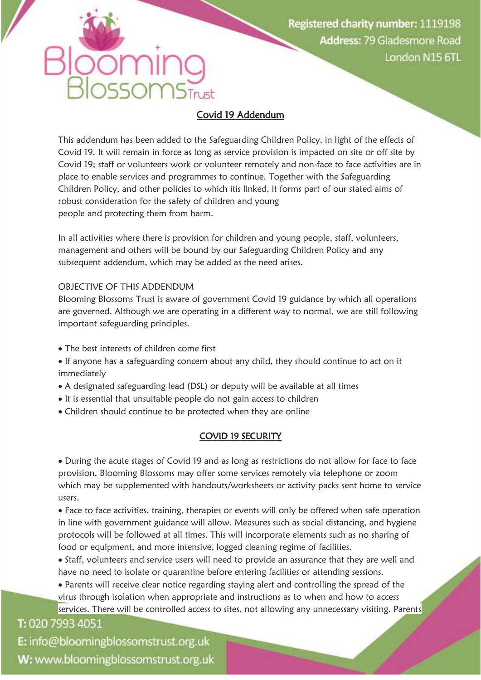#### Covid 19 Addendum

 $\overline{\text{MS}_{\text{Tust}}}$ 

This addendum has been added to the Safeguarding Children Policy, in light of the effects of Covid 19. It will remain in force as long as service provision is impacted on site or off site by Covid 19; staff or volunteers work or volunteer remotely and non-face to face activities are in place to enable services and programmes to continue. Together with the Safeguarding Children Policy, and other policies to which itis linked, it forms part of our stated aims of robust consideration for the safety of children and young people and protecting them from harm.

In all activities where there is provision for children and young people, staff, volunteers, management and others will be bound by our Safeguarding Children Policy and any subsequent addendum, which may be added as the need arises.

#### OBJECTIVE OF THIS ADDENDUM

 $550r$ 

Blooming Blossoms Trust is aware of government Covid 19 guidance by which all operations are governed. Although we are operating in a different way to normal, we are still following important safeguarding principles.

- The best interests of children come first
- If anyone has a safeguarding concern about any child, they should continue to act on it immediately
- A designated safeguarding lead (DSL) or deputy will be available at all times
- It is essential that unsuitable people do not gain access to children
- Children should continue to be protected when they are online

#### COVID 19 SECURITY

 During the acute stages of Covid 19 and as long as restrictions do not allow for face to face provision, Blooming Blossoms may offer some services remotely via telephone or zoom which may be supplemented with handouts/worksheets or activity packs sent home to service users.

 Face to face activities, training, therapies or events will only be offered when safe operation in line with government guidance will allow. Measures such as social distancing, and hygiene protocols will be followed at all times. This will incorporate elements such as no sharing of food or equipment, and more intensive, logged cleaning regime of facilities.

 Staff, volunteers and service users will need to provide an assurance that they are well and have no need to isolate or quarantine before entering facilities or attending sessions.

 Parents will receive clear notice regarding staying alert and controlling the spread of the virus through isolation when appropriate and instructions as to when and how to access services. There will be controlled access to sites, not allowing any unnecessary visiting. Parents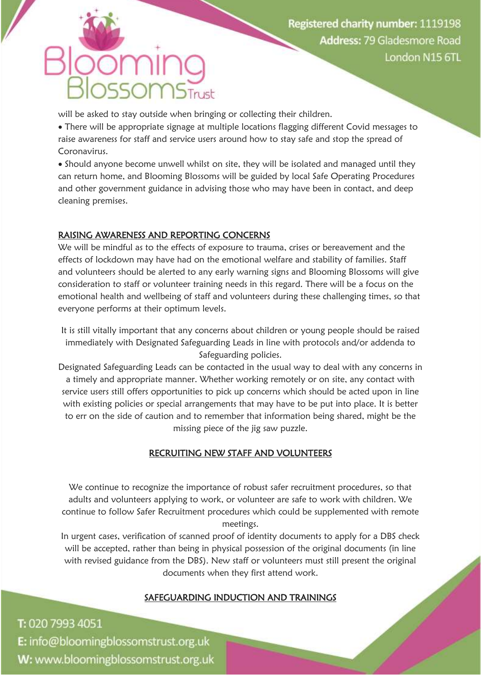## $50r$

will be asked to stay outside when bringing or collecting their children.

 There will be appropriate signage at multiple locations flagging different Covid messages to raise awareness for staff and service users around how to stay safe and stop the spread of Coronavirus.

 Should anyone become unwell whilst on site, they will be isolated and managed until they can return home, and Blooming Blossoms will be guided by local Safe Operating Procedures and other government guidance in advising those who may have been in contact, and deep cleaning premises.

### RAISING AWARENESS AND REPORTING CONCERNS

We will be mindful as to the effects of exposure to trauma, crises or bereavement and the effects of lockdown may have had on the emotional welfare and stability of families. Staff and volunteers should be alerted to any early warning signs and Blooming Blossoms will give consideration to staff or volunteer training needs in this regard. There will be a focus on the emotional health and wellbeing of staff and volunteers during these challenging times, so that everyone performs at their optimum levels.

It is still vitally important that any concerns about children or young people should be raised immediately with Designated Safeguarding Leads in line with protocols and/or addenda to Safeguarding policies.

Designated Safeguarding Leads can be contacted in the usual way to deal with any concerns in a timely and appropriate manner. Whether working remotely or on site, any contact with service users still offers opportunities to pick up concerns which should be acted upon in line with existing policies or special arrangements that may have to be put into place. It is better to err on the side of caution and to remember that information being shared, might be the missing piece of the jig saw puzzle.

## RECRUITING NEW STAFF AND VOLUNTEERS

We continue to recognize the importance of robust safer recruitment procedures, so that adults and volunteers applying to work, or volunteer are safe to work with children. We continue to follow Safer Recruitment procedures which could be supplemented with remote meetings.

In urgent cases, verification of scanned proof of identity documents to apply for a DBS check will be accepted, rather than being in physical possession of the original documents (in line with revised guidance from the DBS). New staff or volunteers must still present the original documents when they first attend work.

### SAFEGUARDING INDUCTION AND TRAININGS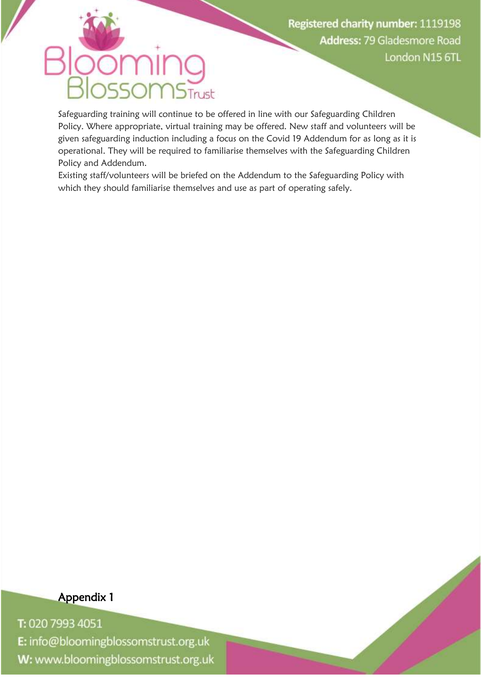## $501$  $\n *NS*$ Trust

Safeguarding training will continue to be offered in line with our Safeguarding Children Policy. Where appropriate, virtual training may be offered. New staff and volunteers will be given safeguarding induction including a focus on the Covid 19 Addendum for as long as it is operational. They will be required to familiarise themselves with the Safeguarding Children Policy and Addendum.

Existing staff/volunteers will be briefed on the Addendum to the Safeguarding Policy with which they should familiarise themselves and use as part of operating safely.

Appendix 1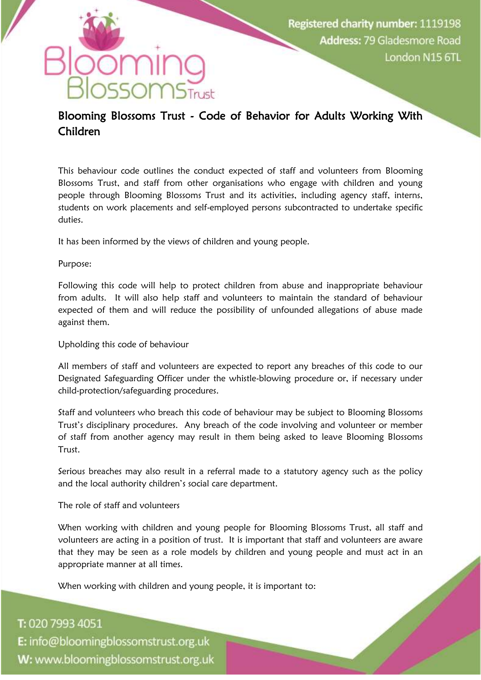

### STrust  $50r$ Blooming Blossoms Trust - Code of Behavior for Adults Working With Children

This behaviour code outlines the conduct expected of staff and volunteers from Blooming Blossoms Trust, and staff from other organisations who engage with children and young people through Blooming Blossoms Trust and its activities, including agency staff, interns, students on work placements and self-employed persons subcontracted to undertake specific duties.

It has been informed by the views of children and young people.

#### Purpose:

Following this code will help to protect children from abuse and inappropriate behaviour from adults. It will also help staff and volunteers to maintain the standard of behaviour expected of them and will reduce the possibility of unfounded allegations of abuse made against them.

Upholding this code of behaviour

All members of staff and volunteers are expected to report any breaches of this code to our Designated Safeguarding Officer under the whistle-blowing procedure or, if necessary under child-protection/safeguarding procedures.

Staff and volunteers who breach this code of behaviour may be subject to Blooming Blossoms Trust's disciplinary procedures. Any breach of the code involving and volunteer or member of staff from another agency may result in them being asked to leave Blooming Blossoms **Trust** 

Serious breaches may also result in a referral made to a statutory agency such as the policy and the local authority children's social care department.

The role of staff and volunteers

When working with children and young people for Blooming Blossoms Trust, all staff and volunteers are acting in a position of trust. It is important that staff and volunteers are aware that they may be seen as a role models by children and young people and must act in an appropriate manner at all times.

When working with children and young people, it is important to: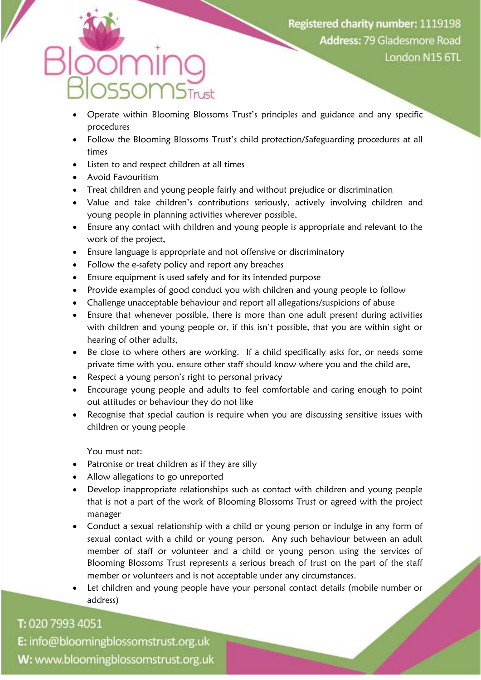- Operate within Blooming Blossoms Trust's principles and guidance and any specific procedures
- Follow the Blooming Blossoms Trust's child protection/Safeguarding procedures at all times
- Listen to and respect children at all times
- Avoid Favouritism
- Treat children and young people fairly and without prejudice or discrimination
- Value and take children's contributions seriously, actively involving children and young people in planning activities wherever possible,
- Ensure any contact with children and young people is appropriate and relevant to the work of the project,
- Ensure language is appropriate and not offensive or discriminatory
- Follow the e-safety policy and report any breaches
- Ensure equipment is used safely and for its intended purpose
- Provide examples of good conduct you wish children and young people to follow
- Challenge unacceptable behaviour and report all allegations/suspicions of abuse
- Ensure that whenever possible, there is more than one adult present during activities with children and young people or, if this isn't possible, that you are within sight or hearing of other adults,
- Be close to where others are working. If a child specifically asks for, or needs some private time with you, ensure other staff should know where you and the child are,
- Respect a young person's right to personal privacy
- Encourage young people and adults to feel comfortable and caring enough to point out attitudes or behaviour they do not like
- Recognise that special caution is require when you are discussing sensitive issues with children or young people

You must not:

- Patronise or treat children as if they are silly
- Allow allegations to go unreported
- Develop inappropriate relationships such as contact with children and young people that is not a part of the work of Blooming Blossoms Trust or agreed with the project manager
- Conduct a sexual relationship with a child or young person or indulge in any form of sexual contact with a child or young person. Any such behaviour between an adult member of staff or volunteer and a child or young person using the services of Blooming Blossoms Trust represents a serious breach of trust on the part of the staff member or volunteers and is not acceptable under any circumstances.
- Let children and young people have your personal contact details (mobile number or address)

## T: 020 7993 4051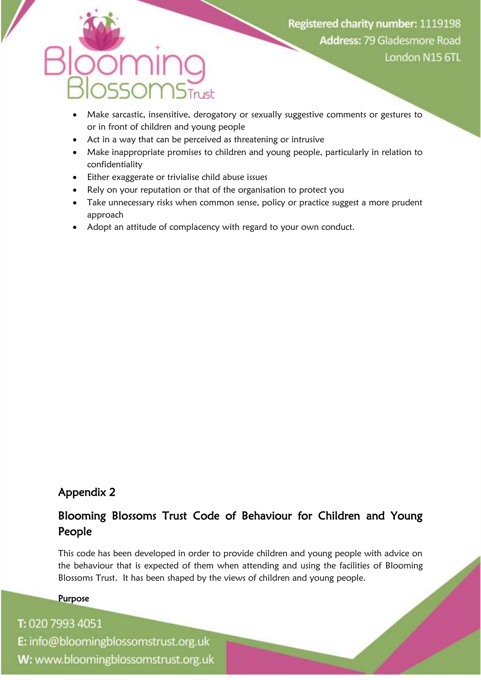- Make sarcastic, insensitive, derogatory or sexually suggestive comments or gestures to or in front of children and young people
- Act in a way that can be perceived as threatening or intrusive
- Make inappropriate promises to children and young people, particularly in relation to confidentiality
- Either exaggerate or trivialise child abuse issues
- Rely on your reputation or that of the organisation to protect you
- Take unnecessary risks when common sense, policy or practice suggest a more prudent approach
- Adopt an attitude of complacency with regard to your own conduct.

## Appendix 2

## Blooming Blossoms Trust Code of Behaviour for Children and Young People

This code has been developed in order to provide children and young people with advice on the behaviour that is expected of them when attending and using the facilities of Blooming Blossoms Trust. It has been shaped by the views of children and young people.

#### Purpose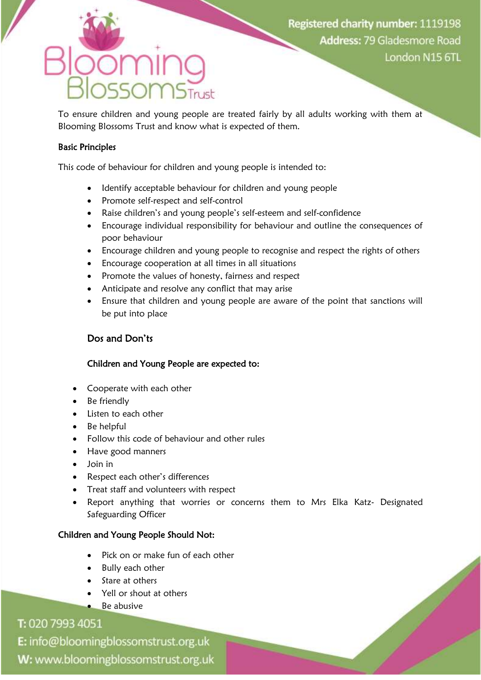To ensure children and young people are treated fairly by all adults working with them at Blooming Blossoms Trust and know what is expected of them.

#### Basic Principles

This code of behaviour for children and young people is intended to:

- Identify acceptable behaviour for children and young people
- Promote self-respect and self-control
- Raise children's and young people's self-esteem and self-confidence
- Encourage individual responsibility for behaviour and outline the consequences of poor behaviour
- Encourage children and young people to recognise and respect the rights of others
- Encourage cooperation at all times in all situations
- Promote the values of honesty, fairness and respect
- Anticipate and resolve any conflict that may arise
- Ensure that children and young people are aware of the point that sanctions will be put into place

#### Dos and Don'ts

#### Children and Young People are expected to:

- Cooperate with each other
- Be friendly
- Listen to each other
- Be helpful
- Follow this code of behaviour and other rules
- Have good manners
- Join in
- Respect each other's differences
- Treat staff and volunteers with respect
- Report anything that worries or concerns them to Mrs Elka Katz- Designated Safeguarding Officer

#### Children and Young People Should Not:

- Pick on or make fun of each other
- Bully each other
- Stare at others
- Yell or shout at others
- Be abusive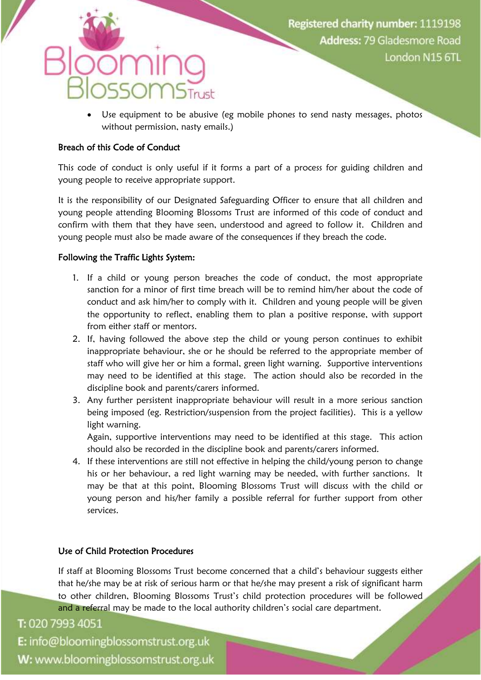# $50r$

 Use equipment to be abusive (eg mobile phones to send nasty messages, photos without permission, nasty emails.)

#### Breach of this Code of Conduct

This code of conduct is only useful if it forms a part of a process for guiding children and young people to receive appropriate support.

It is the responsibility of our Designated Safeguarding Officer to ensure that all children and young people attending Blooming Blossoms Trust are informed of this code of conduct and confirm with them that they have seen, understood and agreed to follow it. Children and young people must also be made aware of the consequences if they breach the code.

#### Following the Traffic Lights System:

- 1. If a child or young person breaches the code of conduct, the most appropriate sanction for a minor of first time breach will be to remind him/her about the code of conduct and ask him/her to comply with it. Children and young people will be given the opportunity to reflect, enabling them to plan a positive response, with support from either staff or mentors.
- 2. If, having followed the above step the child or young person continues to exhibit inappropriate behaviour, she or he should be referred to the appropriate member of staff who will give her or him a formal, green light warning. Supportive interventions may need to be identified at this stage. The action should also be recorded in the discipline book and parents/carers informed.
- 3. Any further persistent inappropriate behaviour will result in a more serious sanction being imposed (eg. Restriction/suspension from the project facilities). This is a yellow light warning.

Again, supportive interventions may need to be identified at this stage. This action should also be recorded in the discipline book and parents/carers informed.

4. If these interventions are still not effective in helping the child/young person to change his or her behaviour, a red light warning may be needed, with further sanctions. It may be that at this point, Blooming Blossoms Trust will discuss with the child or young person and his/her family a possible referral for further support from other services.

### Use of Child Protection Procedures

If staff at Blooming Blossoms Trust become concerned that a child's behaviour suggests either that he/she may be at risk of serious harm or that he/she may present a risk of significant harm to other children, Blooming Blossoms Trust's child protection procedures will be followed and a referral may be made to the local authority children's social care department.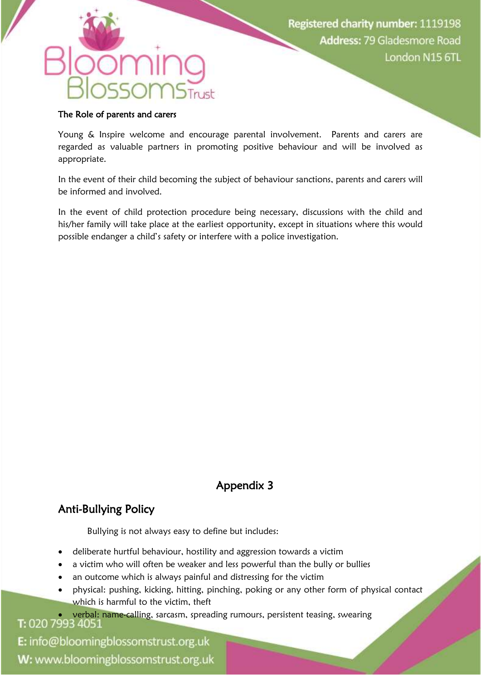#### The Role of parents and carers

Young & Inspire welcome and encourage parental involvement. Parents and carers are regarded as valuable partners in promoting positive behaviour and will be involved as appropriate.

In the event of their child becoming the subject of behaviour sanctions, parents and carers will be informed and involved.

In the event of child protection procedure being necessary, discussions with the child and his/her family will take place at the earliest opportunity, except in situations where this would possible endanger a child's safety or interfere with a police investigation.

## Appendix 3

## Anti-Bullying Policy

Bullying is not always easy to define but includes:

- deliberate hurtful behaviour, hostility and aggression towards a victim
- a victim who will often be weaker and less powerful than the bully or bullies
- an outcome which is always painful and distressing for the victim
- physical: pushing, kicking, hitting, pinching, poking or any other form of physical contact which is harmful to the victim, theft

**T:** 020 7993 4051: name-calling, sarcasm, spreading rumours, persistent teasing, swearing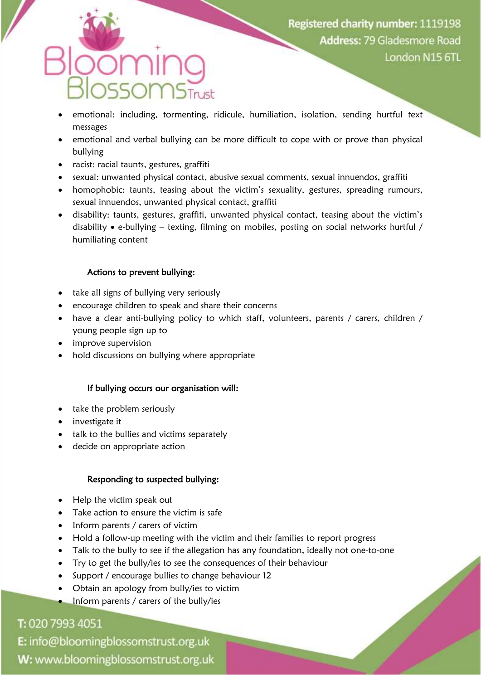- emotional: including, tormenting, ridicule, humiliation, isolation, sending hurtful text messages
- emotional and verbal bullying can be more difficult to cope with or prove than physical bullying
- racist: racial taunts, gestures, graffiti
- sexual: unwanted physical contact, abusive sexual comments, sexual innuendos, graffiti
- homophobic: taunts, teasing about the victim's sexuality, gestures, spreading rumours, sexual innuendos, unwanted physical contact, graffiti
- disability: taunts, gestures, graffiti, unwanted physical contact, teasing about the victim's disability e-bullying – texting, filming on mobiles, posting on social networks hurtful / humiliating content

#### Actions to prevent bullying:

- take all signs of bullying very seriously
- encourage children to speak and share their concerns
- have a clear anti-bullying policy to which staff, volunteers, parents / carers, children / young people sign up to
- improve supervision
- hold discussions on bullying where appropriate

#### If bullying occurs our organisation will:

- take the problem seriously
- investigate it
- talk to the bullies and victims separately
- decide on appropriate action

#### Responding to suspected bullying:

- Help the victim speak out
- Take action to ensure the victim is safe
- Inform parents / carers of victim
- Hold a follow-up meeting with the victim and their families to report progress
- Talk to the bully to see if the allegation has any foundation, ideally not one-to-one
- Try to get the bully/ies to see the consequences of their behaviour
- Support / encourage bullies to change behaviour 12
- Obtain an apology from bully/ies to victim
- Inform parents / carers of the bully/ies

## T: 020 7993 4051